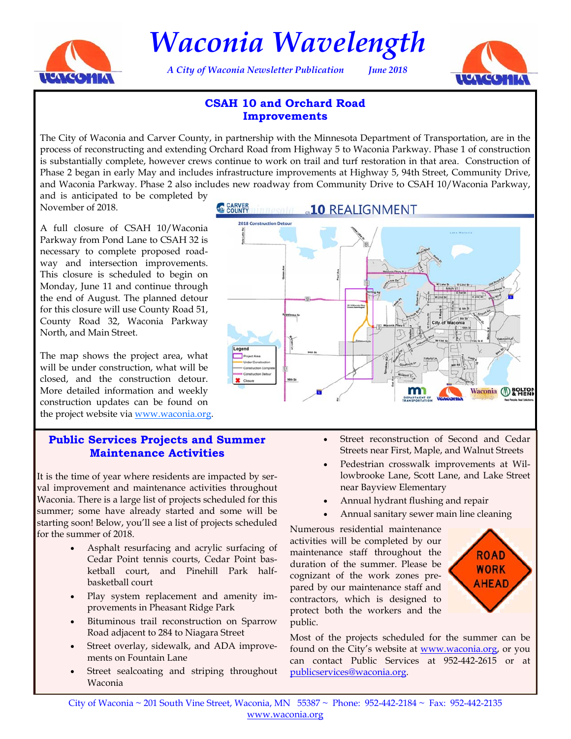

*Waconia Wavelength* 

*A City of Waconia Newsletter Publication June 2018* 



# **CSAH 10 and Orchard Road Improvements**

The City of Waconia and Carver County, in partnership with the Minnesota Department of Transportation, are in the process of reconstructing and extending Orchard Road from Highway 5 to Waconia Parkway. Phase 1 of construction is substantially complete, however crews continue to work on trail and turf restoration in that area. Construction of Phase 2 began in early May and includes infrastructure improvements at Highway 5, 94th Street, Community Drive, and Waconia Parkway. Phase 2 also includes new roadway from Community Drive to CSAH 10/Waconia Parkway,

and is anticipated to be completed by November of 2018.

A full closure of CSAH 10/Waconia Parkway from Pond Lane to CSAH 32 is necessary to complete proposed roadway and intersection improvements. This closure is scheduled to begin on Monday, June 11 and continue through the end of August. The planned detour for this closure will use County Road 51, County Road 32, Waconia Parkway North, and Main Street.

The map shows the project area, what will be under construction, what will be closed, and the construction detour. More detailed information and weekly construction updates can be found on the project website via **www.waconia.org**.

#### **Public Services Projects and Summer Maintenance Activities**

It is the time of year where residents are impacted by serval improvement and maintenance activities throughout Waconia. There is a large list of projects scheduled for this summer; some have already started and some will be starting soon! Below, you'll see a list of projects scheduled for the summer of 2018.

- Asphalt resurfacing and acrylic surfacing of Cedar Point tennis courts, Cedar Point basketball court, and Pinehill Park halfbasketball court
- Play system replacement and amenity improvements in Pheasant Ridge Park
- Bituminous trail reconstruction on Sparrow Road adjacent to 284 to Niagara Street
- Street overlay, sidewalk, and ADA improvements on Fountain Lane
- Street sealcoating and striping throughout Waconia

CARVER innesota **a10** REALIGNMENT



- Street reconstruction of Second and Cedar Streets near First, Maple, and Walnut Streets
- Pedestrian crosswalk improvements at Willowbrooke Lane, Scott Lane, and Lake Street near Bayview Elementary
- Annual hydrant flushing and repair
- Annual sanitary sewer main line cleaning

Numerous residential maintenance activities will be completed by our maintenance staff throughout the duration of the summer. Please be cognizant of the work zones prepared by our maintenance staff and contractors, which is designed to protect both the workers and the public.



Most of the projects scheduled for the summer can be found on the City's website at [www.waconia.org,](http://waconia.org/) or you can contact Public Services at 952-442-2615 or at publicservices@waconia.org.